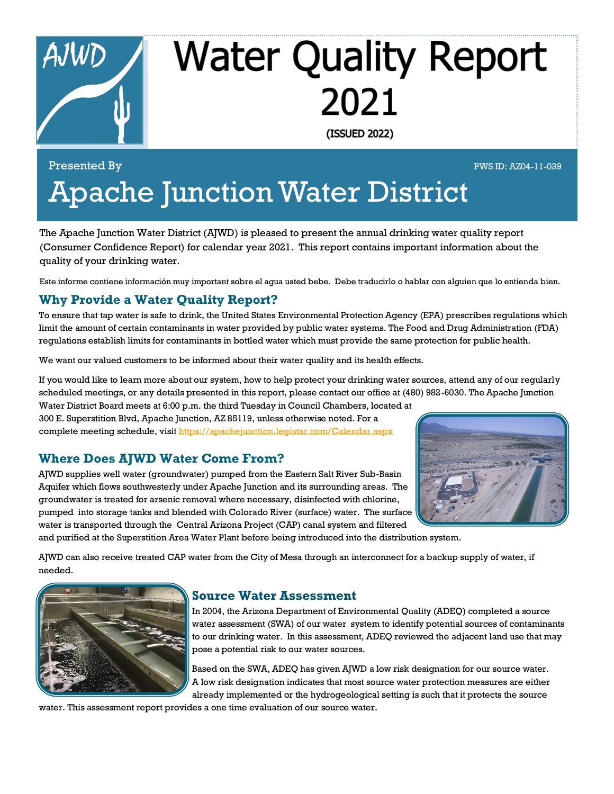

# **Water Quality Report** 2021

(ISSUED 2022)

## Presented By PWS ID: AZ04-11-039 Apache Junction Water District

The Apache Junction Water District (AJWD) is pleased to present the annual drinking water quality report (Consumer Confidence Report) for calendar year 2021. This report contains important information about the quality of your drinking water.

Este informe contiene información muy important sobre el agua usted bebe. Debe traducirlo o hablar con alguien que lo entienda bien.

#### **Why Provide a Water Quality Report?**

To ensure that tap water is safe to drink, the United States Environmental Protection Agency (EPA) prescribes regulations which limit the amount of certain contaminants in water provided by public water systems. The Food and Drug Administration (FDA) regulations establish limits for contaminants in bottled water which must provide the same protection for public health.

We want our valued customers to be informed about their water quality and its health effects.

If you would like to learn more about our system, how to help protect your drinking water sources, attend any of our regularly scheduled meetings, or any details presented in this report, please contact our office at (480) 982-6030. The Apache Junction Water District Board meets at 6:00 p.m. the third Tuesday in Council Chambers, located at

300 E. Superstition Blvd, Apache Junction, AZ 85119, unless otherwise noted. For a complete meeting schedule, visit<https://apachejunction.legistar.com/Calendar.aspx>

#### **Where Does AJWD Water Come From?**



AJWD supplies well water (groundwater) pumped from the Eastern Salt River Sub-Basin Aquifer which flows southwesterly under Apache Junction and its surrounding areas. The groundwater is treated for arsenic removal where necessary, disinfected with chlorine, pumped into storage tanks and blended with Colorado River (surface) water. The surface water is transported through the Central Arizona Project (CAP) canal system and filtered and purified at the Superstition Area Water Plant before being introduced into the distribution system.

AJWD can also receive treated CAP water from the City of Mesa through an interconnect for a backup supply of water, if needed.



#### **Source Water Assessment**

In 2004, the Arizona Department of Environmental Quality (ADEQ) completed a source water assessment (SWA) of our water system to identify potential sources of contaminants to our drinking water. In this assessment, ADEQ reviewed the adjacent land use that may pose a potential risk to our water sources.

Based on the SWA, ADEQ has given AJWD a low risk designation for our source water. A low risk designation indicates that most source water protection measures are either already implemented or the hydrogeological setting is such that it protects the source

water. This assessment report provides a one time evaluation of our source water.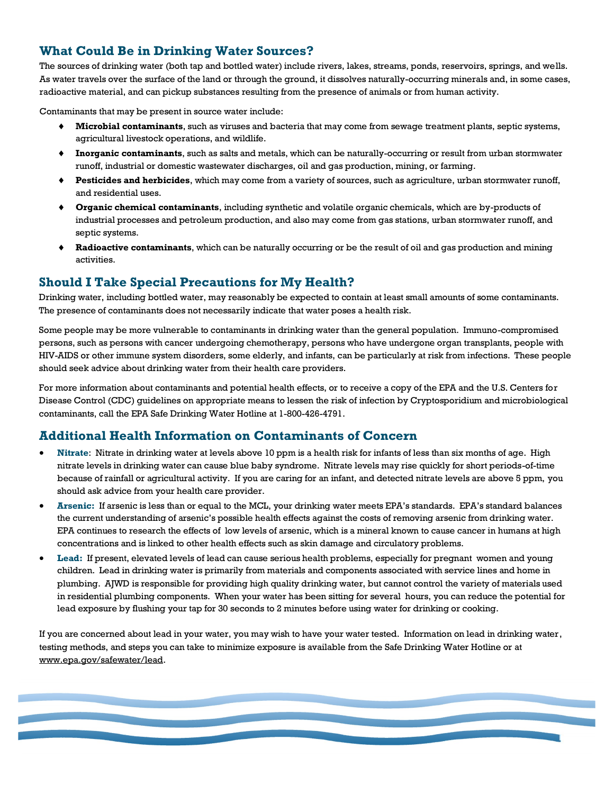#### **What Could Be in Drinking Water Sources?**

The sources of drinking water (both tap and bottled water) include rivers, lakes, streams, ponds, reservoirs, springs, and wells. As water travels over the surface of the land or through the ground, it dissolves naturally-occurring minerals and, in some cases, radioactive material, and can pickup substances resulting from the presence of animals or from human activity.

Contaminants that may be present in source water include:

- **Microbial contaminants**, such as viruses and bacteria that may come from sewage treatment plants, septic systems, agricultural livestock operations, and wildlife.
- **Inorganic contaminants**, such as salts and metals, which can be naturally-occurring or result from urban stormwater runoff, industrial or domestic wastewater discharges, oil and gas production, mining, or farming.
- **Pesticides and herbicides**, which may come from a variety of sources, such as agriculture, urban stormwater runoff, and residential uses.
- **Organic chemical contaminants**, including synthetic and volatile organic chemicals, which are by-products of industrial processes and petroleum production, and also may come from gas stations, urban stormwater runoff, and septic systems.
- **Radioactive contaminants**, which can be naturally occurring or be the result of oil and gas production and mining activities.

#### **Should I Take Special Precautions for My Health?**

Drinking water, including bottled water, may reasonably be expected to contain at least small amounts of some contaminants. The presence of contaminants does not necessarily indicate that water poses a health risk.

Some people may be more vulnerable to contaminants in drinking water than the general population. Immuno-compromised persons, such as persons with cancer undergoing chemotherapy, persons who have undergone organ transplants, people with HIV-AIDS or other immune system disorders, some elderly, and infants, can be particularly at risk from infections. These people should seek advice about drinking water from their health care providers.

For more information about contaminants and potential health effects, or to receive a copy of the EPA and the U.S. Centers for Disease Control (CDC) guidelines on appropriate means to lessen the risk of infection by Cryptosporidium and microbiological contaminants, call the EPA Safe Drinking Water Hotline at 1-800-426-4791.

#### **Additional Health Information on Contaminants of Concern**

- **Nitrate**: Nitrate in drinking water at levels above 10 ppm is a health risk for infants of less than six months of age. High nitrate levels in drinking water can cause blue baby syndrome. Nitrate levels may rise quickly for short periods-of-time because of rainfall or agricultural activity. If you are caring for an infant, and detected nitrate levels are above 5 ppm, you should ask advice from your health care provider.
- **Arsenic:** If arsenic is less than or equal to the MCL, your drinking water meets EPA's standards. EPA's standard balances the current understanding of arsenic's possible health effects against the costs of removing arsenic from drinking water. EPA continues to research the effects of low levels of arsenic, which is a mineral known to cause cancer in humans at high concentrations and is linked to other health effects such as skin damage and circulatory problems.
- **Lead:** If present, elevated levels of lead can cause serious health problems, especially for pregnant women and young children. Lead in drinking water is primarily from materials and components associated with service lines and home in plumbing. AJWD is responsible for providing high quality drinking water, but cannot control the variety of materials used in residential plumbing components. When your water has been sitting for several hours, you can reduce the potential for lead exposure by flushing your tap for 30 seconds to 2 minutes before using water for drinking or cooking.

If you are concerned about lead in your water, you may wish to have your water tested. Information on lead in drinking water, testing methods, and steps you can take to minimize exposure is available from the Safe Drinking Water Hotline or at www.epa.gov/safewater/lead.

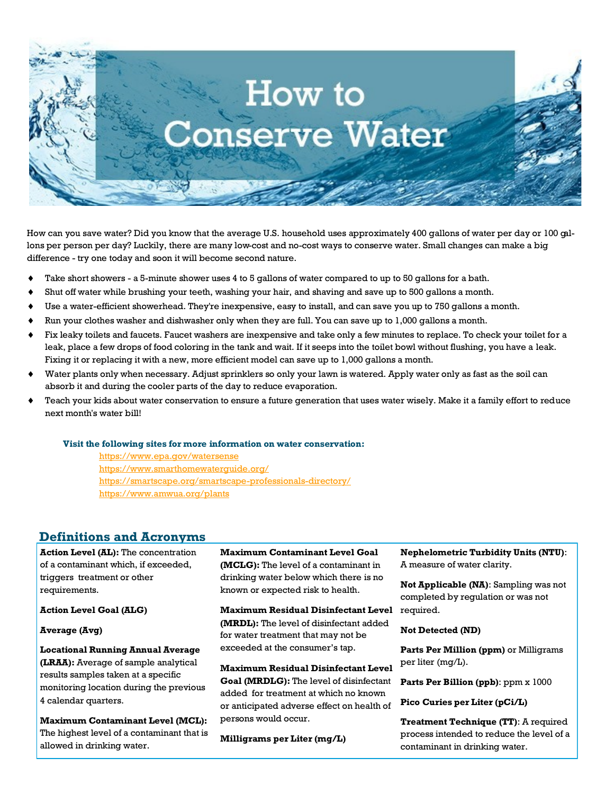

How can you save water? Did you know that the average U.S. household uses approximately 400 gallons of water per day or 100 gallons per person per day? Luckily, there are many low-cost and no-cost ways to conserve water. Small changes can make a big difference - try one today and soon it will become second nature.

- Take short showers a 5-minute shower uses 4 to 5 gallons of water compared to up to 50 gallons for a bath.
- Shut off water while brushing your teeth, washing your hair, and shaving and save up to 500 gallons a month.
- Use a water-efficient showerhead. They're inexpensive, easy to install, and can save you up to 750 gallons a month.
- $\bullet$  Run your clothes washer and dishwasher only when they are full. You can save up to 1,000 gallons a month.
- Fix leaky toilets and faucets. Faucet washers are inexpensive and take only a few minutes to replace. To check your toilet for a leak, place a few drops of food coloring in the tank and wait. If it seeps into the toilet bowl without flushing, you have a leak. Fixing it or replacing it with a new, more efficient model can save up to 1,000 gallons a month.
- Water plants only when necessary. Adjust sprinklers so only your lawn is watered. Apply water only as fast as the soil can absorb it and during the cooler parts of the day to reduce evaporation.
- Teach your kids about water conservation to ensure a future generation that uses water wisely. Make it a family effort to reduce next month's water bill!

#### **Visit the following sites for more information on water conservation:**

<https://www.epa.gov/watersense> <https://www.smarthomewaterguide.org/> <https://smartscape.org/smartscape-professionals-directory/> <https://www.amwua.org/plants>

#### **Definitions and Acronyms**

**Action Level (AL):** The concentration of a contaminant which, if exceeded, triggers treatment or other requirements.

**Action Level Goal (ALG)**

**Average (Avg)**

**Locational Running Annual Average (LRAA):** Average of sample analytical results samples taken at a specific monitoring location during the previous 4 calendar quarters.

**Maximum Contaminant Level (MCL):**  The highest level of a contaminant that is allowed in drinking water.

**Maximum Contaminant Level Goal (MCLG):** The level of a contaminant in drinking water below which there is no known or expected risk to health.

**Maximum Residual Disinfectant Level (MRDL):** The level of disinfectant added for water treatment that may not be exceeded at the consumer's tap.

**Maximum Residual Disinfectant Level Goal (MRDLG):** The level of disinfectant **Parts Per Billion (ppb)**: ppm x 1000 added for treatment at which no known or anticipated adverse effect on health of persons would occur.

**Milligrams per Liter (mg/L)**

**Nephelometric Turbidity Units (NTU)**: A measure of water clarity.

**Not Applicable (NA)**: Sampling was not completed by regulation or was not required.

**Not Detected (ND)**

**Parts Per Million (ppm)** or Milligrams per liter (mg/L).

**Pico Curies per Liter (pCi/L)**

**Treatment Technique (TT)**: A required process intended to reduce the level of a contaminant in drinking water.